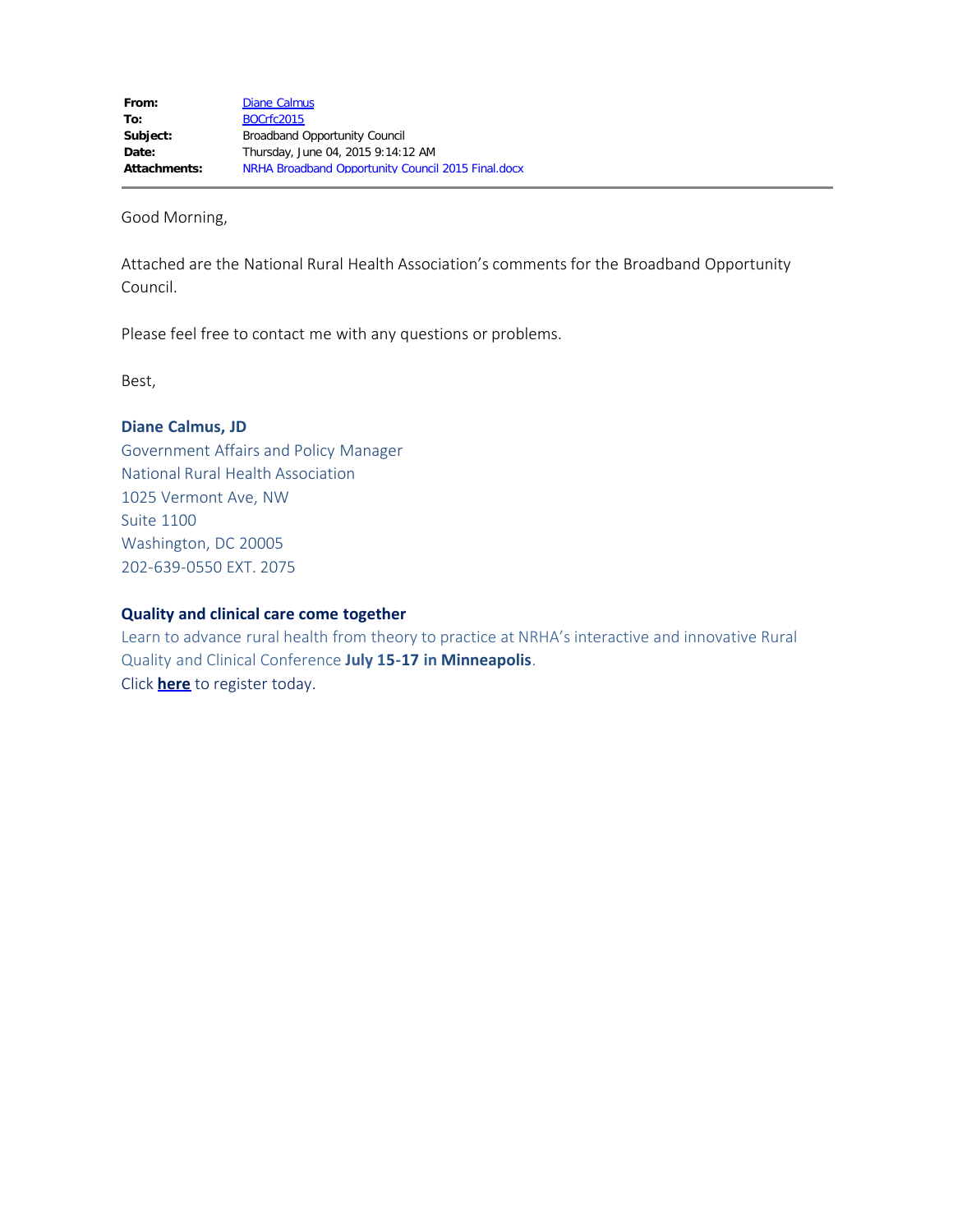Good Morning,

Attached are the National Rural Health Association's comments for the Broadband Opportunity Council.

Please feel free to contact me with any questions or problems.

Best,

## **Diane Calmus, JD**

Government Affairs and Policy Manager National Rural Health Association 1025 Vermont Ave, NW Suite 1100 Washington, DC 20005 202-639-0550 EXT. 2075

#### **Quality and clinical care come together**

Learn to advance rural health from theory to practice at NRHA's interactive and innovative Rural Quality and Clinical Conference **July 15-17 in Minneapolis**. Click **[here](http://www.ruralhealthweb.org/quality)** to register today.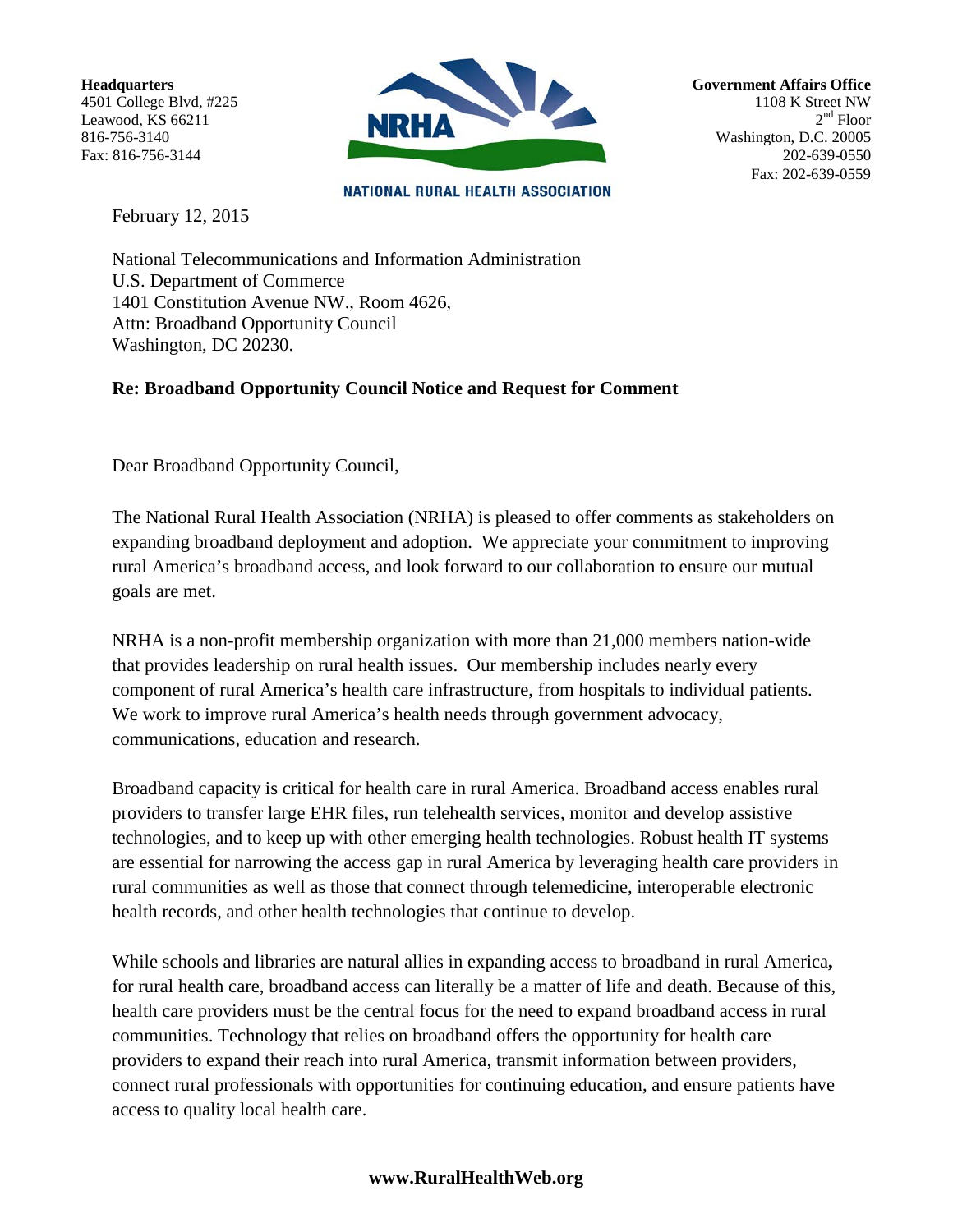Headquarters 4501 College Blvd, #225 Leawood, KS 66211 816-756-3140 Fax: 816-756-3144



**Government Affairs Office** 1108 K Street NW  $2<sup>nd</sup>$  Floor Washington, D.C. 20005 202-639-0550 Fax: 202-639-0559

**NATIONAL RURAL HEALTH ASSOCIATION** 

February 12, 2015

National Telecommunications and Information Administration U.S. Department of Commerce 1401 Constitution Avenue NW., Room 4626, Attn: Broadband Opportunity Council Washington, DC 20230.

# **Re: Broadband Opportunity Council Notice and Request for Comment**

Dear Broadband Opportunity Council,

The National Rural Health Association (NRHA) is pleased to offer comments as stakeholders on expanding broadband deployment and adoption. We appreciate your commitment to improving rural America's broadband access, and look forward to our collaboration to ensure our mutual goals are met.

NRHA is a non-profit membership organization with more than 21,000 members nation-wide that provides leadership on rural health issues. Our membership includes nearly every component of rural America's health care infrastructure, from hospitals to individual patients. We work to improve rural America's health needs through government advocacy, communications, education and research.

Broadband capacity is critical for health care in rural America. Broadband access enables rural providers to transfer large EHR files, run telehealth services, monitor and develop assistive technologies, and to keep up with other emerging health technologies. Robust health IT systems are essential for narrowing the access gap in rural America by leveraging health care providers in rural communities as well as those that connect through telemedicine, interoperable electronic health records, and other health technologies that continue to develop.

While schools and libraries are natural allies in expanding access to broadband in rural America**,**  for rural health care, broadband access can literally be a matter of life and death. Because of this, health care providers must be the central focus for the need to expand broadband access in rural communities. Technology that relies on broadband offers the opportunity for health care providers to expand their reach into rural America, transmit information between providers, connect rural professionals with opportunities for continuing education, and ensure patients have access to quality local health care.

# **www.RuralHealthWeb.org**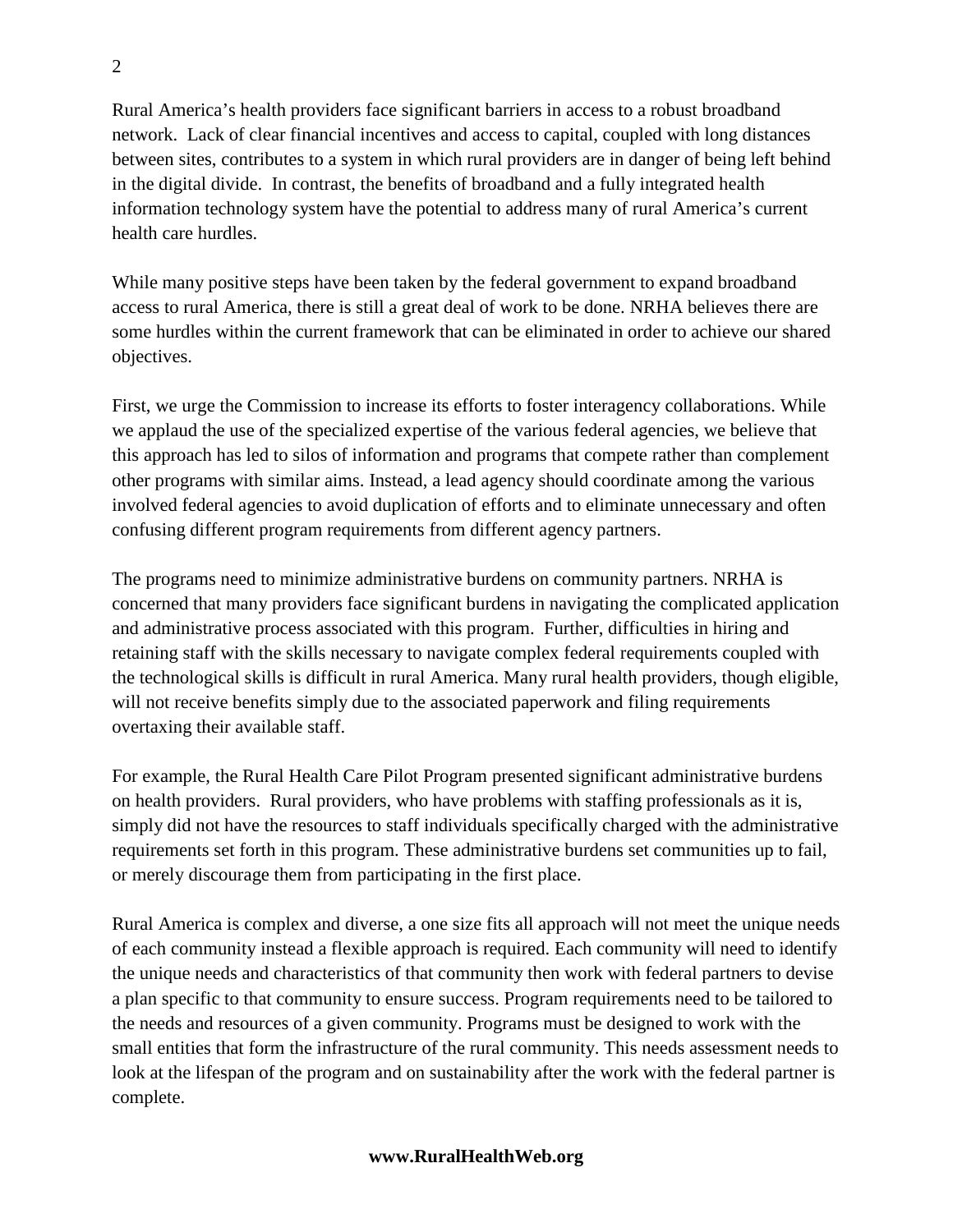Rural America's health providers face significant barriers in access to a robust broadband network. Lack of clear financial incentives and access to capital, coupled with long distances between sites, contributes to a system in which rural providers are in danger of being left behind in the digital divide. In contrast, the benefits of broadband and a fully integrated health information technology system have the potential to address many of rural America's current health care hurdles.

While many positive steps have been taken by the federal government to expand broadband access to rural America, there is still a great deal of work to be done. NRHA believes there are some hurdles within the current framework that can be eliminated in order to achieve our shared objectives.

First, we urge the Commission to increase its efforts to foster interagency collaborations. While we applaud the use of the specialized expertise of the various federal agencies, we believe that this approach has led to silos of information and programs that compete rather than complement other programs with similar aims. Instead, a lead agency should coordinate among the various involved federal agencies to avoid duplication of efforts and to eliminate unnecessary and often confusing different program requirements from different agency partners.

The programs need to minimize administrative burdens on community partners. NRHA is concerned that many providers face significant burdens in navigating the complicated application and administrative process associated with this program. Further, difficulties in hiring and retaining staff with the skills necessary to navigate complex federal requirements coupled with the technological skills is difficult in rural America. Many rural health providers, though eligible, will not receive benefits simply due to the associated paperwork and filing requirements overtaxing their available staff.

For example, the Rural Health Care Pilot Program presented significant administrative burdens on health providers. Rural providers, who have problems with staffing professionals as it is, simply did not have the resources to staff individuals specifically charged with the administrative requirements set forth in this program. These administrative burdens set communities up to fail, or merely discourage them from participating in the first place.

Rural America is complex and diverse, a one size fits all approach will not meet the unique needs of each community instead a flexible approach is required. Each community will need to identify the unique needs and characteristics of that community then work with federal partners to devise a plan specific to that community to ensure success. Program requirements need to be tailored to the needs and resources of a given community. Programs must be designed to work with the small entities that form the infrastructure of the rural community. This needs assessment needs to look at the lifespan of the program and on sustainability after the work with the federal partner is complete.

## **www.RuralHealthWeb.org**